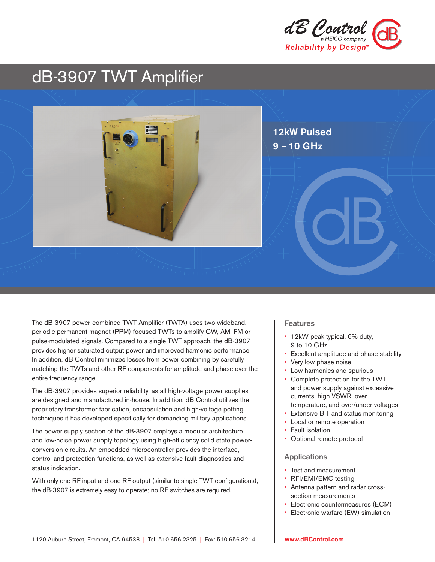

# dB-3907 TWT Amplifier



The dB-3907 power-combined TWT Amplifier (TWTA) uses two wideband, periodic permanent magnet (PPM)-focused TWTs to amplify CW, AM, FM or pulse-modulated signals. Compared to a single TWT approach, the dB-3907 provides higher saturated output power and improved harmonic performance. In addition, dB Control minimizes losses from power combining by carefully matching the TWTs and other RF components for amplitude and phase over the entire frequency range.

The dB-3907 provides superior reliability, as all high-voltage power supplies are designed and manufactured in-house. In addition, dB Control utilizes the proprietary transformer fabrication, encapsulation and high-voltage potting techniques it has developed specifically for demanding military applications.

The power supply section of the dB-3907 employs a modular architecture and low-noise power supply topology using high-efficiency solid state powerconversion circuits. An embedded microcontroller provides the interface, control and protection functions, as well as extensive fault diagnostics and status indication.

With only one RF input and one RF output (similar to single TWT configurations), the dB-3907 is extremely easy to operate; no RF switches are required.

#### Features

- 12kW peak typical, 6% duty, 9 to 10 GHz
- Excellent amplitude and phase stability
- Very low phase noise
- Low harmonics and spurious
- Complete protection for the TWT and power supply against excessive currents, high VSWR, over temperature, and over/under voltages
- Extensive BIT and status monitoring
- Local or remote operation
- Fault isolation
- Optional remote protocol

#### Applications

- Test and measurement
- RFI/EMI/EMC testing
- Antenna pattern and radar crosssection measurements
- Electronic countermeasures (ECM)
- Electronic warfare (EW) simulation